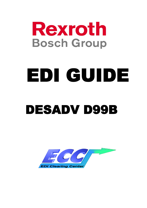

# EDI GUIDE DESADV D99B

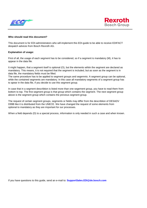



#### **Who should read this document?**

This document is for EDI-administrators who will implement this EDI-guide to be able to receive EDIFACT despatch advices from Bosch Rexroth AG.

#### **Explanation of usage:**

First of all, the usage of each segment has to be considered, so if a segment is mandatory (M), it has to appear in the data file.

It might happen, that a segment itself is optional (O), but the elements wihtin the segment are declared as mandatory. This means, it is not required that the segment is included, but as soon as the segment is in data file, the mandatory fields must be filled.

The same procedure has to be applied to segment groups and segemnts: A segment group can be optional, while the contained segments are mandatory. In this case all mandatory segments of a segment group has to apear in the data file, if you decide to use this segment group.

In case that in a segment describtion is listed more than one segement group, you have to read them from bottom to top. The first segment group is that group which contains the segment. The next segment group above is the segment group which contains the previous segment group.

The request of certain segment groups, segments or fields may differ from the describtion of DESADV D99B like it is distributed from the UNECE. We have changed the request of some elements from optional to mandatory as they are important for our processes.

When a field depends (D) to a special process, information is only needed in such a case and when known.

If you have questions to this guide, send an e-mail to: **SupportSales.EDI@de.bosch.com**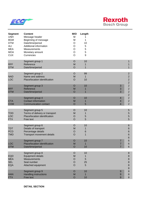



| <b>Segment</b><br><b>UNH</b><br><b>BGM</b><br><b>DTM</b><br><b>ALI</b><br><b>MEA</b><br><b>MOA</b><br><b>CUX</b> | <b>Content</b><br>Message header<br>Beginning of message<br>Date/time/period<br>Additional information<br>Measurements<br>Monetary amount<br>Currencies | M/O<br>M<br>M<br>$\circ$<br>$\circ$<br>$\circ$<br>$\circ$<br>$\circ$ | Length<br>1<br>1<br>10<br>5<br>5<br>5<br>9 |                                                    |                                                                                      |
|------------------------------------------------------------------------------------------------------------------|---------------------------------------------------------------------------------------------------------------------------------------------------------|----------------------------------------------------------------------|--------------------------------------------|----------------------------------------------------|--------------------------------------------------------------------------------------|
| <b>RFF</b><br><b>DTM</b>                                                                                         | Segment group 1<br>Reference<br>Date/time/period                                                                                                        | $\circ$<br>M<br>$\circ$                                              | 10<br>1<br>$\mathbf 1$                     |                                                    | $\mathbf 1$<br>1<br>1                                                                |
| <b>NAD</b><br><b>LOC</b>                                                                                         | Segment group 2<br>Name and address<br>Place/location identification<br>Segment group 3                                                                 | $\circ$<br>M<br>O<br>$\circ$                                         | 99<br>$\mathbf 1$<br>10<br>10              | 3                                                  | $\mathbf{2}$<br>$\overline{c}$<br>$\overline{2}$<br>$\overline{2}$<br>$\overline{2}$ |
| <b>RFF</b><br><b>DTM</b>                                                                                         | Reference<br>Date/time/period                                                                                                                           | M<br>$\circ$                                                         | 1<br>$\mathbf 1$                           | 3<br>3                                             | $\overline{2}$<br>$\overline{2}$<br>$\overline{2}$                                   |
| <b>CTA</b><br><b>COM</b>                                                                                         | Segment group 4<br><b>Contact information</b><br>Communication contact                                                                                  | $\circ$<br>M<br>$\circ$                                              | 10<br>1<br>5                               | 4<br>4<br>$\overline{4}$                           | $\overline{2}$<br>$\overline{2}$<br>$\overline{2}$                                   |
| <b>TOD</b><br>LOC<br><b>FTX</b>                                                                                  | Segment group 5<br>Terms of delivery or transport<br>Place/location identification<br>Free text                                                         | $\circ$<br>M<br>$\circ$<br>$\overline{O}$                            | 10<br>1<br>5<br>5                          |                                                    | 5<br>5<br>5<br>5                                                                     |
| <b>TDT</b><br><b>PCD</b><br><b>TMD</b>                                                                           | Segment group 6<br>Details of transport<br>Percentage details<br>Transport movement details                                                             | $\circ$<br>M<br>$\circ$<br>O                                         | 10<br>1<br>6<br>1                          |                                                    | 6<br>6<br>6<br>6<br>6                                                                |
| <b>LOC</b><br><b>DTM</b>                                                                                         | Segment group 7<br>Place/location identification<br>Date/time/period                                                                                    | $\circ$<br>M<br>$\overline{O}$                                       | 10<br>$\mathbf{1}$<br>10                   | $\overline{7}$<br>$\overline{7}$<br>$\overline{7}$ | 6<br>6<br>$6\phantom{1}6$                                                            |
| <b>EQD</b><br><b>MEA</b><br><b>SEL</b><br><b>EQA</b>                                                             | Segment group 8<br><b>Equipment details</b><br>Measurements<br>Seal number<br>Attached equipment                                                        | $\circ$<br>M<br>$\circ$<br>$\circ$<br>$\circ$                        | 10<br>1<br>5<br>25<br>5                    |                                                    | 8<br>8<br>8<br>8<br>8<br>8                                                           |
| <b>HAN</b><br><b>FTX</b>                                                                                         | Segment group 9<br>Handling instructions<br>Free text                                                                                                   | $\circ$<br>M<br>$\circ$                                              | 10<br>1<br>10                              | 9<br>9<br>$\boldsymbol{9}$                         | $\bf8$<br>$\,$ 8 $\,$<br>$\bf 8$                                                     |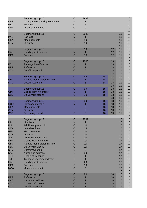| <b>CPS</b><br><b>FTX</b><br>QVR                                                                                                                                                                                       | Segment group 10<br>Consignment packing sequence<br>Free text<br><b>Quantity variances</b>                                                                                                                                                                                                                                                                                                            | $\circ$<br>M<br>$\circ$<br>$\circ$                                                                                                                                                 | 9999<br>5<br>9                                                                                                             |                            |                            |                                                                                                          | 10<br>10<br>10<br>10<br>10                                                                                     |
|-----------------------------------------------------------------------------------------------------------------------------------------------------------------------------------------------------------------------|-------------------------------------------------------------------------------------------------------------------------------------------------------------------------------------------------------------------------------------------------------------------------------------------------------------------------------------------------------------------------------------------------------|------------------------------------------------------------------------------------------------------------------------------------------------------------------------------------|----------------------------------------------------------------------------------------------------------------------------|----------------------------|----------------------------|----------------------------------------------------------------------------------------------------------|----------------------------------------------------------------------------------------------------------------|
| <b>PAC</b><br><b>MEA</b><br>QTY                                                                                                                                                                                       | Segment group 11<br>Package<br><b>Measurements</b><br>Quantity                                                                                                                                                                                                                                                                                                                                        | $\circ$<br>M<br>$\circ$<br>$\circ$                                                                                                                                                 | 9999<br>1<br>10<br>10                                                                                                      |                            |                            | 11<br>11<br>11<br>11<br>11                                                                               | 10<br>10<br>10<br>10<br>10                                                                                     |
| <b>HAN</b><br><b>FTX</b>                                                                                                                                                                                              | Segment group 12<br><b>Handling instructions</b><br>Free text                                                                                                                                                                                                                                                                                                                                         | $\circ$<br>M<br>$\circ$                                                                                                                                                            | 10<br>$\mathbf 1$<br>10                                                                                                    |                            | 12<br>12<br>12             | 11<br>11<br>11<br>11                                                                                     | 10<br>10<br>10<br>10                                                                                           |
| PCI<br><b>RFF</b><br><b>DTM</b>                                                                                                                                                                                       | Segment group 13<br>Package identification<br>Reference<br>Date/time/period                                                                                                                                                                                                                                                                                                                           | $\circ$<br>M<br>$\circ$<br>$\circ$                                                                                                                                                 | 1000<br>1<br>5                                                                                                             |                            | 13<br>13<br>13<br>13<br>13 | 11<br>11<br>11<br>11<br>11                                                                               | 10<br>10<br>10<br>10<br>10                                                                                     |
| <b>GIR</b><br><b>DTM</b>                                                                                                                                                                                              | Segment group 14<br>Related identification number<br>Date/time/period                                                                                                                                                                                                                                                                                                                                 | $\circ$<br>M<br>$\circ$                                                                                                                                                            | 99<br>1<br>5                                                                                                               | 14<br>14<br>14             | 13<br>13<br>13<br>13       | 11<br>11<br>11<br>11                                                                                     | 10<br>10<br>10<br>10                                                                                           |
| <b>GIN</b><br><b>DLM</b>                                                                                                                                                                                              | Segment group 15<br>Goods identity number<br><b>Delivery limitations</b>                                                                                                                                                                                                                                                                                                                              | $\circ$<br>M<br>$\circ$                                                                                                                                                            | 99<br>1<br>10                                                                                                              | 15<br>15<br>15             | 13<br>13<br>13<br>13       | 11<br>11<br>11<br>11                                                                                     | 10<br>10<br>10<br>10                                                                                           |
| <b>COD</b><br><b>MEA</b><br><b>QTY</b><br><b>PCD</b>                                                                                                                                                                  | Segment group 16<br><b>Component details</b><br><b>Measurements</b><br>Quantity<br>Percentage details                                                                                                                                                                                                                                                                                                 | $\circ$<br>M<br>$\circ$<br>$\circ$<br>$\overline{O}$                                                                                                                               | 99<br>1<br>9<br>9<br>9                                                                                                     | 16<br>16<br>16<br>16<br>16 | 13<br>13<br>13<br>13<br>13 | 11<br>11<br>11<br>11<br>11                                                                               | 10<br>10<br>10<br>10<br>10                                                                                     |
| <b>LIN</b><br><b>PIA</b><br><b>IMD</b><br><b>MEA</b><br>QTY<br><b>ALI</b><br><b>GIN</b><br><b>GIR</b><br><b>DLM</b><br><b>DTM</b><br><b>NAD</b><br><b>TDT</b><br><b>TMD</b><br><b>HAN</b><br><b>FTX</b><br><b>MOA</b> | Segment group 17<br>Line item<br>Additional product id<br>Item description<br><b>Measurements</b><br>Quantity<br>Additional information<br>Goods identity number<br>Related identification number<br><b>Delivery limitations</b><br>Date/time/period<br>Name and address<br>Details of transport<br><b>Transport movement details</b><br><b>Handling instructions</b><br>Free text<br>Monetary amount | $\circ$<br>M<br>$\overline{O}$<br>$\circ$<br>$\circ$<br>$\circ$<br>$\circ$<br>O<br>$\circ$<br>$\circ$<br>$\circ$<br>$\circ$<br>$\circ$<br>$\circ$<br>$\circ$<br>$\circ$<br>$\circ$ | 9999<br>1<br>10<br>25<br>10<br>10<br>10<br>100<br>100<br>100<br>$\overline{5}$<br>99<br>1<br>$\mathbf{1}$<br>20<br>99<br>5 |                            |                            | 17<br>17<br>17<br>17<br>17<br>17<br>17<br>17<br>17<br>17<br>17<br>17<br>17<br>17<br>17<br>17<br>17<br>17 | 10<br>10<br>10<br>10<br>10<br>10<br>10<br>10<br>10<br>10<br>10<br>10<br>10<br>10<br>10<br>10<br>10<br>10<br>10 |
| <b>RFF</b><br><b>NAD</b><br><b>CTA</b><br><b>DTM</b>                                                                                                                                                                  | Segment group 18<br>Reference<br>Name and address<br><b>Contact information</b><br>Date/time/period                                                                                                                                                                                                                                                                                                   | O<br>M<br>$\circ$<br>O<br>$\circ$                                                                                                                                                  | 99                                                                                                                         |                            | 18<br>18<br>18<br>18<br>18 | 17<br>17<br>17<br>17<br>17                                                                               | 10<br>10<br>10<br>10<br>10 <sup>1</sup>                                                                        |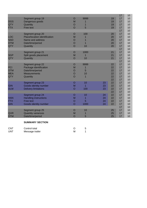|            |                               |                |      |    |    | 17 | 10 |
|------------|-------------------------------|----------------|------|----|----|----|----|
|            | Segment group 19              | $\circ$        | 9999 |    | 19 | 17 | 10 |
| <b>DGS</b> | Dangerous goods               | M              |      |    | 19 | 17 | 10 |
| QTY        | Quantity                      | $\circ$        |      |    | 19 | 17 | 10 |
| <b>FTX</b> | Free text                     | $\overline{O}$ | 5    |    | 19 | 17 | 10 |
|            |                               |                |      |    |    | 17 | 10 |
|            | Segment group 20              | $\circ$        | 100  |    | 20 | 17 | 10 |
| <b>LOC</b> | Place/location identification | M              |      |    | 20 | 17 | 10 |
| <b>NAD</b> | Name and address              | O              |      |    | 20 | 17 | 10 |
| <b>DTM</b> | Date/time/period              | $\circ$        |      |    | 20 | 17 | 10 |
| QTY        | Quantity                      | $\overline{O}$ | 10   |    | 20 | 17 | 10 |
|            |                               |                |      |    |    | 17 | 10 |
|            | Segment group 21              | $\circ$        | 1000 |    | 21 | 17 | 10 |
| <b>SGP</b> | Split goods placement         | M              |      |    | 21 | 17 | 10 |
| QTY        | Quantity                      | $\circ$        | 10   |    | 21 | 17 | 10 |
|            |                               |                |      |    |    | 17 | 10 |
|            | Segment group 22              | $\circ$        | 9999 |    | 22 | 17 | 10 |
| PCI        | Package identification        | M              | 1    |    | 22 | 17 | 10 |
| <b>DTM</b> | Date/time/period              | O              | 5    |    | 22 | 17 | 10 |
| <b>MEA</b> | <b>Measurements</b>           | $\circ$        | 10   |    | 22 | 17 | 10 |
| QTY        | Quantity                      | $\circ$        |      |    | 22 | 17 | 10 |
|            |                               |                |      |    | 22 | 17 | 10 |
|            | Segment group 23              | O              | 10   | 23 | 22 | 17 | 10 |
| <b>GIN</b> | Goods identity number         | M              |      | 23 | 22 | 17 | 10 |
| <b>DLM</b> | <b>Delivery limitations</b>   | $\circ$        | 100  | 23 | 22 | 17 | 10 |
|            |                               |                |      |    | 22 | 17 | 10 |
|            | Segment group 24              | $\circ$        | 10   | 24 | 22 | 17 | 10 |
| <b>HAN</b> | <b>Handling instructions</b>  | M              | 1    | 24 | 22 | 17 | 10 |
| <b>FTX</b> | Free text                     | O              | 5    | 24 | 22 | 17 | 10 |
| <b>GIN</b> | Goods identity number         | $\circ$        | 1000 | 24 | 22 | 17 | 10 |
|            |                               |                |      |    |    | 17 | 10 |
|            | Segment group 25              | $\circ$        | 10   |    | 25 | 17 | 10 |
| QVR        | <b>Quantity variances</b>     | M              |      |    | 25 | 17 | 10 |
| <b>DTM</b> | Date/time/period              | $\overline{O}$ | 5    |    | 25 | 17 | 10 |
|            |                               |                |      |    |    |    |    |

#### **SUMMARY SECTION**

| <b>CNT</b> | Control total   |  |
|------------|-----------------|--|
| UNT        | Message trailer |  |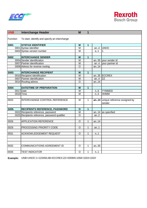



| <b>UNB</b>  | <b>Interchange Header</b>                     | M              | 1                       |            |                                             |
|-------------|-----------------------------------------------|----------------|-------------------------|------------|---------------------------------------------|
| Function    | To start, identify and specify an interchange |                |                         |            |                                             |
| <b>S001</b> | <b>SYNTAX IDENTIFIER</b>                      | $\overline{M}$ | $\overline{\mathbf{1}}$ |            |                                             |
|             | 0001 Syntax identifier                        | $\overline{M}$ |                         | an.4       | <b>UNOC</b>                                 |
|             | 0002 Syntax version number                    | M              |                         | a.1        | 1                                           |
|             |                                               |                |                         |            |                                             |
| <b>S002</b> | <b>INTERCHANGE SENDER</b>                     | M              | 1                       |            |                                             |
|             | 0004 Sender identification                    | M              |                         |            | an35 your sender id                         |
|             | 0007 Partner identification                   | M              |                         | an.4       | your partner id                             |
|             | 0008 Adress for reverse routing               | $\overline{0}$ |                         | an14       |                                             |
|             |                                               |                |                         |            |                                             |
| <b>S003</b> | <b>INTERCHANGE RECIPIENT</b>                  | M              | $\mathbf{1}$            |            |                                             |
|             | 0010 Recipient Identification                 | M              |                         |            | an35 ECCREX                                 |
|             | 0007 Partner identification                   | M              |                         | an4 $ ZZ $ |                                             |
|             | 0014 Routing adress                           | $\circ$        |                         | an.14      |                                             |
|             |                                               |                |                         |            |                                             |
| <b>S004</b> | <b>DATE/TIME OF PREPARATION</b>               | M              | $\overline{1}$          |            |                                             |
| 0017        | Date                                          | M              |                         | n.6        | YYMMDD                                      |
|             | 0019 Time                                     | M              |                         | n.4        | <b>HHMM</b>                                 |
|             |                                               |                |                         |            |                                             |
| 0020        | INTERCHANGE CONTROL REFERENCE                 | M              | $\mathbf{1}$            |            | an14 unique reference assigned by<br>sender |
| <b>S005</b> | <b>RECIPIENTS REFERENCE, PASSWORD</b>         | $\mathbf{o}$   | $\overline{1}$          |            |                                             |
|             | 0022 Recipients reference, password           | $\overline{M}$ |                         |            | an14 as specified                           |
|             | 0025 Recipients reference, password qualifier | $\overline{0}$ |                         | an.2       |                                             |
|             |                                               |                |                         |            |                                             |
| 0026        | <b>APPLICATION REFERENCE</b>                  | $\overline{O}$ | 1                       | an14       |                                             |
|             |                                               |                |                         |            |                                             |
| 0029        | PROCESSING PRIORITY CODE                      | $\overline{O}$ | $\mathbf{1}$            | an.1       |                                             |
|             |                                               |                |                         |            |                                             |
| 0031        | <b>ACKNOWLEDGEMENT REQUEST</b>                | $\overline{O}$ | $\mathbf 1$             | n.1        |                                             |
|             |                                               |                |                         |            |                                             |
|             |                                               |                |                         |            |                                             |
|             |                                               |                |                         |            |                                             |
| 0032        | <b>COMMUNICATIONS AGREEMENT ID</b>            | $\circ$        | 1                       | an35       |                                             |
|             |                                               |                |                         |            |                                             |
| 0035        | <b>TEST INDICATOR</b>                         | $\circ$        | $\mathbf{1}$            | n.1        |                                             |

**Example:** UNB+UNOC:1+123456:AB+ECCREX:ZZ+030905:1058+1024+1024'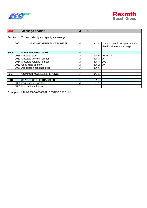

| <b>UNH</b>  | <b>Message header</b>                   | M           |   |      |                                                                      |
|-------------|-----------------------------------------|-------------|---|------|----------------------------------------------------------------------|
| Function:   | To head, identify and specify a message |             |   |      |                                                                      |
| 0062        | <b>MESSAGE REFERENCE NUMBER</b>         | M           |   |      | an14 Contains a unique alphanumerical<br>identification of a message |
|             |                                         |             |   |      |                                                                      |
| <b>S009</b> | <b>MESSAGE IDENTIFIER</b>               | M           | 1 |      |                                                                      |
|             | 0065 Message type                       | м           |   | an.6 | DESADV                                                               |
|             | 0052 Message version number             | M           |   | an.3 | ID                                                                   |
|             | 0054 Message release number             | M           |   | an.3 | 99B                                                                  |
|             | 0051 Controlling agency                 | М           |   | an.2 | <b>JUN</b>                                                           |
|             | 0057 Association assigned code          | O           |   | an.6 |                                                                      |
|             |                                         |             |   |      |                                                                      |
| 0068        | <b>COMMON ACCESS REFERENCE</b>          | O           |   | an35 |                                                                      |
|             |                                         |             |   |      |                                                                      |
| <b>S010</b> | <b>STATUS OF THE TRANSFER</b>           | $\mathbf O$ |   | 1    |                                                                      |
|             | 0070 Sequence of transfers              | М           |   | n2   |                                                                      |
|             | 0073 First and last transfer            | $\Omega$    |   |      |                                                                      |

**Example:** UNH+00002406000001+DESADV:D:99B:UN'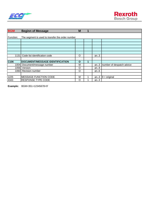



| <b>BGM</b>       | <b>Beginn of Message</b>                         | M            | 1 |      |                           |
|------------------|--------------------------------------------------|--------------|---|------|---------------------------|
|                  |                                                  |              |   |      |                           |
| Function:        | The segment is used to transfer the order number |              |   |      |                           |
|                  |                                                  |              |   |      |                           |
|                  |                                                  |              |   |      |                           |
|                  |                                                  |              |   |      |                           |
|                  |                                                  |              |   |      |                           |
|                  |                                                  |              |   |      |                           |
| 1131             | Code list identification code                    | $\circ$      |   | an.3 |                           |
|                  |                                                  |              |   |      |                           |
| C <sub>106</sub> | DOCUMENT/MESSAGE IDENTIFICATION                  | $\mathbf{o}$ | 4 |      |                           |
| 1004             | Document/message number                          | м            |   | an.3 | number of despatch advice |
| 1056             | Version                                          | $\circ$      |   | an.9 |                           |
|                  | 1060 Revision number                             | $\circ$      |   | an.6 |                           |
|                  |                                                  |              |   |      |                           |
| 1225             | <b>MESSAGE FUNCTION CODE</b>                     | м            |   | an.3 | $9 = original$            |
| 4343             | <b>RESPONSE TYPE CODE</b>                        | $\Omega$     |   | an.3 |                           |

**Example:** BGM+351+12345678+9'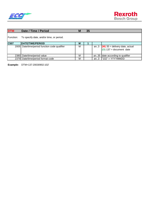



| <b>DTM</b>  | Date / Time / Period                            | M | 35 |      |                                                                 |
|-------------|-------------------------------------------------|---|----|------|-----------------------------------------------------------------|
| Function:   | To specify date, and/or time, or period.        |   |    |      |                                                                 |
| <b>C507</b> | <b>DATE/TIME/PERIOD</b>                         | М |    |      |                                                                 |
|             | 2005   Date/time/period function code qualifier | M |    |      | an3 $(M)$ 35 = delivery date, actual<br>(0) 137 = document date |
| 2380        | Date/time/period value                          | м |    |      | an35 date according to qualifier                                |
|             | 2379 Date/time/period format code               | M |    | an.3 | $"102" = YYYYMMDD$                                              |

**Example:** DTM+137:20030902:102'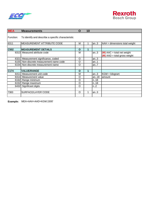



| <b>MEA</b> | <b>Measurements</b>                                | Ő        | 10 |      |                                 |
|------------|----------------------------------------------------|----------|----|------|---------------------------------|
| Function:  | To identify and describe a specific characteristic |          |    |      |                                 |
| 6311       | <b>MEASUREMENT ATTRIBUTE CODE</b>                  | м        |    | an.3 | $AAH =$ dimensions total weight |
|            |                                                    |          |    |      |                                 |
| C502       | <b>MEASUREMENT DETAILS</b>                         | O        | 1  |      |                                 |
|            | 6313 Measured attribute code                       | м        |    | an.3 | $(M)$ AAC = total net weight    |
|            |                                                    |          |    |      | $(M)$ AAD = total gross weight  |
|            | 6321 Measurement significance, coded               | O        |    | an.3 |                                 |
|            | 6155 Non-discrete measurement name code            | O        |    | an1  |                                 |
|            | 6154 Non-discrete measurement name                 | O        |    | an.7 |                                 |
|            |                                                    |          |    |      |                                 |
| C174       | <b>VALUE/RANGE</b>                                 | O        | 1  |      |                                 |
| 6411       | Measurement unit code                              | м        |    | an.3 | $KGM = kilogram$                |
|            | 6314 Measurement value                             | O        |    | an18 | amount                          |
|            | 6162 Range minimum                                 | O        |    | n.18 |                                 |
|            | 6152 Range maximum                                 | O        |    | n.18 |                                 |
| 6432       | Significant digits                                 | $\Omega$ |    | n.2  |                                 |
|            |                                                    |          |    |      |                                 |
| 7383       | SURFACE/LAYER CODE                                 | $\Omega$ |    | lan3 |                                 |
|            |                                                    |          |    |      |                                 |

**Example:** MEA+AAH+AAD+KGM:1500'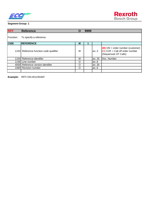



## **Segment-Group: 1**

| <b>RFF</b> | <b>Reference</b>                       | O | 9999 |      |                                                                                                  |
|------------|----------------------------------------|---|------|------|--------------------------------------------------------------------------------------------------|
| Function:  | To specify a reference.                |   |      |      |                                                                                                  |
| C506       | <b>REFERENCE</b>                       | м |      |      |                                                                                                  |
|            | 1153 Reference function code qualifier | M |      | lan3 | $(M)$ ON = order number (customer)<br>$(D)$ COF = Call off order number<br>(Sequenced JIT Calls) |
|            | 1154 Reference identifier              | М |      | an35 | Doc. Number                                                                                      |
|            | 1156 Line number                       | O |      | lan6 |                                                                                                  |
|            | 4000 Reference version identifier      | O |      | an35 |                                                                                                  |
|            | 1060 Revision number                   | O |      | an.6 |                                                                                                  |
|            |                                        |   |      |      |                                                                                                  |

**Example:** RFF+ON:451235450'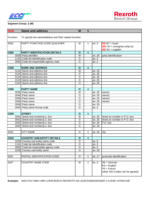



| <b>NAD</b>  | <b>Name and address</b>                                | M              | 1            |      |                                                                                     |
|-------------|--------------------------------------------------------|----------------|--------------|------|-------------------------------------------------------------------------------------|
| Function:   | To specify the name/address and their related function |                |              |      |                                                                                     |
| 3035        | PARTY FUNCTION CODE QUALIFIER                          | M              | 1            | an.3 | $(M)$ BY = buyer<br>$(M)$ CN = consignee (ship to)<br>$(M)$ SU = supplier           |
| <b>C082</b> | <b>PARTY IDENTIFICATION DETAILS</b>                    | $\mathbf{o}$   | $\mathbf 1$  |      |                                                                                     |
|             | 3039 Party identifier                                  | M              |              | an35 | party identification                                                                |
|             | 1131 Code list identification code                     | $\circ$        |              | an.3 |                                                                                     |
|             | 3055 Code list responsible agency code                 | $\circ$        |              | an.3 |                                                                                     |
|             |                                                        |                |              |      |                                                                                     |
| C058        | <b>NAME AND ADDRESS</b>                                | $\mathbf{o}$   | $\mathbf{1}$ |      |                                                                                     |
|             | 3124 Name and address line                             | M              |              | an35 |                                                                                     |
|             | 3124 Name and address line                             | $\circ$        |              | an35 |                                                                                     |
|             | 3124 Name and address line                             | $\circ$        |              | an35 |                                                                                     |
|             | 3124 Name and address line                             | $\circ$        |              | an35 |                                                                                     |
|             | 3124 Name and address line                             | $\overline{O}$ |              | an35 |                                                                                     |
|             |                                                        |                |              |      |                                                                                     |
| <b>C080</b> | <b>PARTY NAME</b>                                      | $\mathbf{o}$   | $\mathbf{1}$ |      |                                                                                     |
|             | 3036 Party name                                        | M              |              | an35 | name1                                                                               |
|             | 3036 Party name                                        | $\circ$        |              | an35 | name2                                                                               |
|             | 3036 Party name                                        | $\circ$        |              | an35 | name3                                                                               |
|             | 3036 Party name                                        | $\circ$        |              | an35 | name4                                                                               |
|             | 3036 Party name                                        | $\circ$        |              | an35 |                                                                                     |
|             | 3045 Party name format code                            | $\overline{O}$ |              | an.3 |                                                                                     |
|             |                                                        |                |              |      |                                                                                     |
| C059        | <b>STREET</b>                                          | $\mathbf{o}$   | $\mathbf{1}$ |      |                                                                                     |
|             | 3042 Street and number/p.o. box                        | M              |              | an35 | street an number or P.O. box                                                        |
|             | 3042 Street and number/p.o. box                        | $\circ$        |              | an35 | street an number or P.O. box                                                        |
|             | 3042 Street and number/p.o. box                        | $\circ$        |              | an35 | P.O. box                                                                            |
|             | 3042 Street and number/p.o. box                        | $\overline{O}$ |              | an35 |                                                                                     |
|             |                                                        |                |              |      |                                                                                     |
| 3164        | <b>CITY NAME</b>                                       | $\circ$        | 1            | an35 | city                                                                                |
|             |                                                        |                |              |      |                                                                                     |
| C819        | <b>COUNTRY SUB-ENTITY DETAILS</b>                      | $\mathbf{o}$   | 1            |      |                                                                                     |
|             | 3229 Country sub-entity name code                      | $\mathsf O$    |              | an.9 |                                                                                     |
|             | 1131 Code list identification code                     | $\mathsf O$    |              | an.3 |                                                                                     |
|             | 3055 Code list responsible agency code                 | $\circ$        |              | an.3 |                                                                                     |
|             | 3228 Country sub-entity name                           | $\circ$        |              | an35 |                                                                                     |
|             |                                                        |                |              |      |                                                                                     |
| 3251        | POSTAL IDENTIFICATION CODE                             | $\circ$        | 1            | an17 | postcode identification                                                             |
| 3207        | <b>COUNTRY NAME CODE</b>                               | M              | 1            | an.3 | $DE = German$<br>$EN = English$<br>$FR = French$<br>(other ISO-Codes can be agreed) |

**Example:** NAD+CN+7084++BRI LOHR:BOSCH REXROTH AG+ZUM EISENGIESSER 1+LOHR++97816+DE'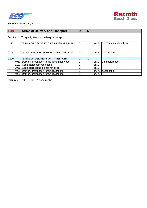



# **Segment-Group: 5 (O)**

| <b>TOD</b>       | <b>Terms of Delivery and Transport</b>            | O | 5 |      |                           |
|------------------|---------------------------------------------------|---|---|------|---------------------------|
| Function:        | To specify terms of delivery or transport.        |   |   |      |                           |
| 4055             | TERMS OF DELIVERY OR TRANSPORT FUNC               | C |   | an.3 | $5 =$ Transport Condition |
|                  |                                                   |   |   |      |                           |
| 4215             | TRANSPORT CHARGES PAYMENT METHOD O                | C |   | an.3 | $CC = collect$            |
| C <sub>100</sub> | TERMS OF DELIVERY OR TRANSPORT                    | C |   |      |                           |
|                  | 4053 Delivery or transport terms description code | C |   | an.3 | transport mode            |
|                  | 1131 Code list identification code                | C |   | an.3 |                           |
|                  | 3055 Code list responsible agency code            | С |   | an.3 |                           |
| 4052             | Delivery or transport terms description           | С |   | an70 | description               |
|                  | 4052 Delivery or transport terms description      | C |   | an70 |                           |

**Example:** TOD+5+CC+01:::seafreight'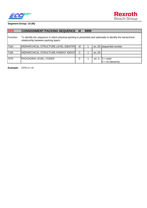



| <b>CPS</b> | <b>CONSIGNMENT PACKING SEQUENCE M</b>                                                                                                              |   | 9999 |      |                        |
|------------|----------------------------------------------------------------------------------------------------------------------------------------------------|---|------|------|------------------------|
| Function:  | To identify the sequence in which physical packing is presented and optionally to identify the hierarchical<br>relationship between packing layers |   |      |      |                        |
| 7164       | HIERARCHICAL STRUCTURE LEVEL IDENTIFI                                                                                                              | м |      |      | an35 sequential number |
|            |                                                                                                                                                    |   |      |      |                        |
| 7166       | HIERARCHICAL STRUCTURE PARENT IDENTI                                                                                                               | C |      | an35 |                        |
|            |                                                                                                                                                    |   |      |      |                        |
| 7075       | PACKAGING LEVEL, CODED                                                                                                                             | С |      | an.3 | $3 = outer$            |
|            |                                                                                                                                                    |   |      |      | $4 = no hierarchy$     |

**Example:** CPS+1++4'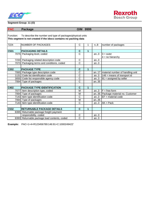



## **Segment-Group: 11 (O)**

| <b>PAC</b> | <b>Package</b>                                                                                                                  | O/M                     | 9999        |      |                                         |
|------------|---------------------------------------------------------------------------------------------------------------------------------|-------------------------|-------------|------|-----------------------------------------|
| Function:  | To describe the number and type of packages/physical units<br>This segment is not created if the idocs contains no packing data |                         |             |      |                                         |
| 7224       | NUMBER OF PACKAGES                                                                                                              | C                       |             | n.8  | number of packages                      |
|            |                                                                                                                                 |                         |             |      |                                         |
| C531       | <b>PACKAGING DETAILS</b>                                                                                                        | $\mathbf c$             | 1           |      |                                         |
|            | 7075 Packaging level, coded                                                                                                     | $\overline{\text{c}}$   |             | an.3 | $3 = outer$<br>$4 = no hierarchy$       |
|            | 7233 Packaging related description code                                                                                         | $\mathsf{C}$            |             | an.3 |                                         |
|            | 7073 Packaging terms and conditions, coded                                                                                      | C                       |             | an.3 |                                         |
|            |                                                                                                                                 |                         |             |      |                                         |
| C202       | <b>PACKAGE TYPE</b>                                                                                                             | $\mathbf c$             | $\mathbf 1$ |      |                                         |
|            | 7065 Package type description code                                                                                              | C                       |             |      | an17   material number of handling unit |
|            | 1131 Code list identification code                                                                                              | $\overline{\text{c}}$   |             |      | an3 $146$ = means of transport id       |
|            | 3055 Code list responsible agency code                                                                                          | $\overline{\text{c}}$   |             | an.3 | $91 =$ assigned by seller               |
|            | 7064 Type of packages                                                                                                           | $\overline{\text{c}}$   |             | an35 |                                         |
|            |                                                                                                                                 |                         |             |      |                                         |
| C402       | <b>PACKAGE TYPE IDENTIFICATION</b>                                                                                              | $\overline{\mathbf{c}}$ | 1           |      |                                         |
|            | 7077 Item description type, coded                                                                                               | M                       |             | an.3 | $F = free form$                         |
|            | 7064 Type of packages                                                                                                           | M                       |             |      | an35 Package material no. Customer      |
|            | 7143 Item type identification code                                                                                              | C                       |             | an.3 | $EF$ = material code                    |
|            | 7064 Type of packages                                                                                                           | M                       |             | an35 |                                         |
|            | 7143 Item type identification code                                                                                              | C                       |             | an.3 | $AK = Pack$                             |
|            |                                                                                                                                 |                         |             |      |                                         |
| C532       | <b>RETURNABLE PACKAGE DETAILS</b>                                                                                               | $\mathbf C$             | 1           |      |                                         |
|            | 8395 Returnable package freight payment                                                                                         |                         |             |      |                                         |
|            | responsibility, coded                                                                                                           | C                       |             | an.3 |                                         |
|            | 8393 Returnable package load contents, coded                                                                                    | $\overline{\text{c}}$   |             | an.3 |                                         |

**Example:** PAC+1+4+R123456789:146:91+C:1000249422'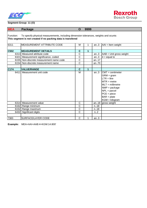



## **Segment-Group: 11 (O)**

| <b>MEA</b>                                                                                                                                                        | <b>Package</b>                          | $\mathbf O$           | 9999 |      |                                                                                                                                                                                               |  |  |  |  |
|-------------------------------------------------------------------------------------------------------------------------------------------------------------------|-----------------------------------------|-----------------------|------|------|-----------------------------------------------------------------------------------------------------------------------------------------------------------------------------------------------|--|--|--|--|
| Function:<br>To specify physical measurements, including dimension tolerances, weights and ocunts<br>This segment is not created if no packing data is transfered |                                         |                       |      |      |                                                                                                                                                                                               |  |  |  |  |
| 6311                                                                                                                                                              | MEASUREMENT ATTRIBUTE CODE              | M                     | 1    | an.3 | $AAI =$ Item weight                                                                                                                                                                           |  |  |  |  |
| C502                                                                                                                                                              | <b>MEASUREMENT DETAILS</b>              | $\mathbf c$           | 1    |      |                                                                                                                                                                                               |  |  |  |  |
|                                                                                                                                                                   | 6313 Measured attribute code            | $\overline{\text{c}}$ |      | an.3 | $AAB = Unit$ gross weight                                                                                                                                                                     |  |  |  |  |
|                                                                                                                                                                   | 6321 Measurement significance, coded    | $\overline{\text{c}}$ |      | an.3 | $4 =$ equal to                                                                                                                                                                                |  |  |  |  |
|                                                                                                                                                                   | 6155 Non-discrete measurement name code | $\overline{\text{c}}$ |      | an17 |                                                                                                                                                                                               |  |  |  |  |
|                                                                                                                                                                   | 6154 Non-discrete measurement name      | C                     |      | an70 |                                                                                                                                                                                               |  |  |  |  |
|                                                                                                                                                                   |                                         |                       |      |      |                                                                                                                                                                                               |  |  |  |  |
| C174                                                                                                                                                              | <b>VALUE/RANGE</b>                      | $\mathbf C$           | 1    |      |                                                                                                                                                                                               |  |  |  |  |
| 6411                                                                                                                                                              | Measurement unit code                   | M                     |      | an.3 | $ICMT = centimeter$<br>$GRM = gram$<br>$LTR =$ litre<br>$MTR = metre$<br>$MLT =$ millimetre<br>$NMP = package$<br>$NPL = \text{parcel}$<br>$PCE = piece$<br>$BAR = plate$<br>$KGM = kilogram$ |  |  |  |  |
|                                                                                                                                                                   | 6314 Measurement value                  | $\mathsf{C}$          |      |      | an18 gross weight                                                                                                                                                                             |  |  |  |  |
|                                                                                                                                                                   | 6162 Range minimum                      | C                     |      | n.18 |                                                                                                                                                                                               |  |  |  |  |
|                                                                                                                                                                   | 6152 Range maximum                      | $\overline{\text{c}}$ |      | n.18 |                                                                                                                                                                                               |  |  |  |  |
|                                                                                                                                                                   | 6432 Significant digits                 | C                     |      | n2   |                                                                                                                                                                                               |  |  |  |  |
| 7383                                                                                                                                                              | SURFACE/LAYER CODE                      | C                     |      | an.3 |                                                                                                                                                                                               |  |  |  |  |

**Example:** MEA+AAI+AAB:4+KGM:14.800'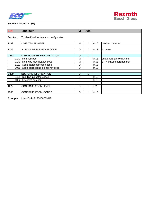



| <b>LIN</b>       | Line item                                 | м       | 9999 |      |                            |
|------------------|-------------------------------------------|---------|------|------|----------------------------|
|                  |                                           |         |      |      |                            |
| Function:        | To identify a line item and configuration |         |      |      |                            |
|                  |                                           |         |      |      |                            |
| 1082             | LINE ITEM NUMBER                          | м       |      | an.6 | line item number           |
|                  |                                           |         |      |      |                            |
| 1229             | <b>ACTION DESCRIPTION CODE</b>            | O       |      | an.3 | $=$ new                    |
|                  |                                           |         |      |      |                            |
| C <sub>212</sub> | <b>ITEM NUMBER IDENTIFICATION</b>         | O       | 1    |      |                            |
|                  | 7140 Item number                          | M       |      | an.3 | customers article number   |
|                  | 7143 Item type identification code        | М       |      | an.3 | $BP = buyer's part number$ |
|                  | 1131 Code list identification code        | $\circ$ |      | an.3 |                            |
|                  | 3055 Code list responsible agency code    | O       |      | an.3 |                            |
|                  |                                           |         |      |      |                            |
| C829             | <b>SUB-LINE INFORMATION</b>               | O       | 1    |      |                            |
|                  | 5495 Sub-line indicator, coded            | O       |      | an.3 |                            |
|                  | 1082 Line item number                     | O       |      | an.6 |                            |
|                  |                                           |         |      |      |                            |
| 1222             | <b>CONFIGURATION LEVEL</b>                | O       |      | n.2  |                            |
|                  |                                           |         |      |      |                            |
| 7083             | CONFIGURATION, CODED                      | $\circ$ |      | an.3 |                            |

**Example:** LIN+10+1+R123456789:BP'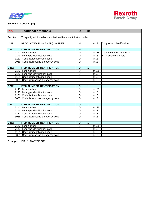



| <b>PIA</b>       | <b>Additional product id</b>                                      | $\mathbf O$    | 10             |      |                              |
|------------------|-------------------------------------------------------------------|----------------|----------------|------|------------------------------|
| Function:        | To specify additional or substitutional item identification codes |                |                |      |                              |
| 4347             | PRODUCT ID. FUNCTION QUALIFIER                                    | M              | 1              | an.3 | $5 =$ product identification |
|                  |                                                                   |                |                |      |                              |
| C <sub>212</sub> | <b>ITEM NUMBER IDENTIFICATION</b>                                 | M              | $\overline{1}$ |      |                              |
|                  | 7140 Item number                                                  | M              |                | an35 | material number (vendor)     |
|                  | 7143 Item type identification code                                | M              |                | an.3 | $SA =$ suppliers article     |
|                  | 1131 Code list identification code                                | $\circ$        |                | an.3 |                              |
|                  | 3055 Code list responsible agency code                            | $\circ$        |                | an.3 |                              |
|                  |                                                                   |                |                |      |                              |
| C212             | <b>ITEM NUMBER IDENTIFICATION</b>                                 | $\mathbf{o}$   | $\mathbf{1}$   |      |                              |
|                  | 7140 Item number                                                  | $\circ$        |                | an35 |                              |
|                  | 7143 Item type identification code                                | $\circ$        |                | an.3 |                              |
|                  | 1131 Code list identification code                                | $\circ$        |                | an.3 |                              |
|                  | 3055 Code list responsible agency code                            | $\overline{O}$ |                | an.3 |                              |
|                  |                                                                   |                |                |      |                              |
| C <sub>212</sub> | <b>ITEM NUMBER IDENTIFICATION</b>                                 | $\mathbf{o}$   | 1              |      |                              |
|                  | 7140 Item number                                                  | $\circ$        |                | an35 |                              |
|                  | 7143 Item type identification code                                | O              |                | an.3 |                              |
|                  | 1131 Code list identification code                                | $\circ$        |                | an.3 |                              |
|                  | 3055 Code list responsible agency code                            | $\circ$        |                | an.3 |                              |
|                  |                                                                   |                |                |      |                              |
| C <sub>212</sub> | <b>ITEM NUMBER IDENTIFICATION</b>                                 | $\mathbf{o}$   | $\overline{1}$ |      |                              |
|                  | 7140 Item number                                                  | $\circ$        |                | an35 |                              |
|                  | 7143 Item type identification code                                | $\overline{O}$ |                | an.3 |                              |
|                  | 1131 Code list identification code                                | $\circ$        |                | an.3 |                              |
|                  | 3055 Code list responsible agency code                            | $\circ$        |                | an.3 |                              |
|                  |                                                                   |                |                |      |                              |
| C <sub>212</sub> | <b>ITEM NUMBER IDENTIFICATION</b>                                 | $\mathbf{o}$   | 1              |      |                              |
|                  | 7140 Item number                                                  | $\circ$        |                | an35 |                              |
|                  | 7143 Item type identification code                                | $\circ$        |                | an.3 |                              |
|                  | 1131 Code list identification code                                | $\circ$        |                | an.3 |                              |
|                  | 3055 Code list responsible agency code                            | $\overline{O}$ |                | an.3 |                              |

**Example:** PIA+5+02433711:SA'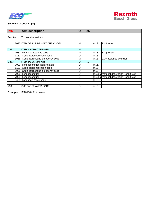



| <b>IMD</b> | <b>Item description</b>                | Ő       | 25 |      |                                           |
|------------|----------------------------------------|---------|----|------|-------------------------------------------|
| Function:  | To describe an item                    |         |    |      |                                           |
|            | 7077 ITEM DESCRIPTION TYPE, CODED      | М       |    | an.3 | $F = free text$                           |
|            |                                        |         |    |      |                                           |
| C272       | <b>ITEM CHARACTERISTIC</b>             | M       | 1  |      |                                           |
| 7081       | Item characteristic code               | М       |    | an.3 | $8 =$ product                             |
|            | 1131 Code list identification code     | O       |    | an.3 |                                           |
|            | 3055 Code list responsible agency code | М       |    | an.3 | $91 =$ assigned by seller                 |
| C273       | <b>ITEM DESCRIPTION</b>                | O       | 1  |      |                                           |
|            | 7009 Item description identification   | $\circ$ |    | an17 |                                           |
|            | 1131 Code list identification code     | O       |    | an.3 |                                           |
|            | 3055 Code list responsible agency code | $\circ$ |    | an.3 |                                           |
|            | 7008 Item description                  | $\circ$ |    |      | an256 material describtion - short text   |
|            | 7008 Item description                  | O       |    |      | an256   material describtion - short text |
|            | 3453 Language name code                | O       |    | an.3 |                                           |
|            |                                        |         |    |      |                                           |
| 7383       | <b>SURFACE/LAYER CODE</b>              | O       |    | an.3 |                                           |

**Example:** IMD+F+8::91+:::valve'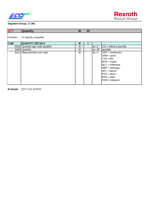

| <b>QTY</b> | Quantity                     | M | 10 |       |                                                                                                                                                                                            |
|------------|------------------------------|---|----|-------|--------------------------------------------------------------------------------------------------------------------------------------------------------------------------------------------|
| Function:  | To specify a quantity        |   |    |       |                                                                                                                                                                                            |
| C186       | <b>QUANTITY DETAILS</b>      | м | 1  |       |                                                                                                                                                                                            |
| 6063       | Quantity type code qualifier | м |    | an.3  | $131$ = delivery quantity                                                                                                                                                                  |
| 6060       | Quantity                     | м |    | an35  | quantitiy                                                                                                                                                                                  |
|            | 6411 Measurement unit code   | м |    | lan.3 | $CMT =$ centimeter<br>$GRM = gram$<br>$LTR =$ litre<br>$MTR = metre$<br>$MLT =$ millimetre<br>$NMP = package$<br>$NPL = \text{parcel}$<br>$PCE = piece$<br>$BAR = plate$<br>KGM = kilogram |

**Example:** QTY+131:10:PCE'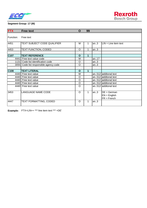



| <b>FTX</b>       | <b>Free text</b>                       | O           | 99           |      |                                                  |
|------------------|----------------------------------------|-------------|--------------|------|--------------------------------------------------|
| Function:        | Free text                              |             |              |      |                                                  |
| 4451             | TEXT SUBJECT CODE QUALIFIER            | M           | 1            | an3  | $LIN = Line item text$                           |
| 4453             | TEXT FUNCTION, CODED                   | $\circ$     | 1            | an.3 |                                                  |
| C <sub>107</sub> | <b>TEXT REFERENCE</b>                  | $\mathbf O$ | $\mathbf{1}$ |      |                                                  |
|                  | 4441 Free text value code              | М           |              | an17 |                                                  |
|                  | 1131 Code list identification code     | O           |              | an.3 |                                                  |
|                  | 3055 Code list responsible agency code | $\circ$     |              | an.3 |                                                  |
|                  |                                        |             |              |      |                                                  |
| C108             | <b>TEXT LITERAL</b>                    | $\mathbf O$ | 1            |      |                                                  |
|                  | 4440 Free text value                   | M           |              |      | an512 additonal text                             |
|                  | 4440 Free text value                   | O           |              |      | an512 additonal text                             |
|                  | 4440 Free text value                   | $\circ$     |              |      | an512 additonal text                             |
|                  | 4440 Free text value                   | $\circ$     |              |      | an512 additonal text                             |
|                  | 4440 Free text value                   | O           |              |      | an512 additonal text                             |
| 3453             | <b>LANGUAGE NAME CODE</b>              | O           | 1            | an.3 | $DE = German$<br>$EN = English$<br>$FR = French$ |
| 4447             | TEXT FORMATTING, CODED                 | $\Omega$    | 1            | an.3 |                                                  |

**Example:** FTX+LIN++ \*\*\* line item text \*\*\* +DE'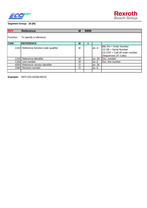



| <b>RFF</b> | <b>Reference</b>                       | M | 9999 |       |                                                                                                                   |
|------------|----------------------------------------|---|------|-------|-------------------------------------------------------------------------------------------------------------------|
| Function:  | To specify a reference.                |   |      |       |                                                                                                                   |
| C506       | <b>REFERENCE</b>                       | M |      |       |                                                                                                                   |
|            | 1153 Reference function code qualifier | M |      | lan3  | $(M)$ ON = Order Number<br>(O) SE = Serial Number<br>( $D$ ) COF = Call off order number<br>(Sequenced JIT Calls) |
|            | 1154 Reference identifier              | М |      | lan35 | Doc. number                                                                                                       |
|            | 1156 Line number                       | М |      | an.6  | Doc. line number                                                                                                  |
|            | 4000 Reference version identifier      | O |      | an35  |                                                                                                                   |
|            | 1060 Revision number                   | O |      | lan6  |                                                                                                                   |
|            |                                        |   |      |       |                                                                                                                   |

**Example:** RFF+ON:10258:00010'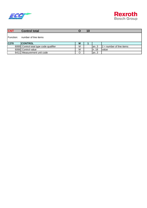



| <b>CNT</b> | <b>Control total</b>                   |   | 10 |          |                            |
|------------|----------------------------------------|---|----|----------|----------------------------|
| Function:  | number of line items                   |   |    |          |                            |
| C270       | <b>CONTROL</b>                         | M |    |          |                            |
|            | 6069 Control total type code qualifier | М |    | lan3     | $2 =$ number of line items |
|            | 6066 Control value                     | М |    | $\ln 18$ | Ivalue                     |
|            | 6411 Measurement unit code             | Ω |    | lan3     |                            |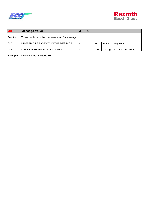



| <b>UNT</b> | <b>Message trailer</b>                         | M |        |                              |
|------------|------------------------------------------------|---|--------|------------------------------|
| Function:  | To end and check the completeness of a message |   |        |                              |
| 0074       | INUMBER OF SEGMENTS IN THE MESSAGE             | м | In6    | number of segments           |
| 0062       | <b>IMESSAGE REFERECNCE NUMBER</b>              | М | lan.14 | message reference (like UNH) |

**Example:** UNT+76+00002406000001'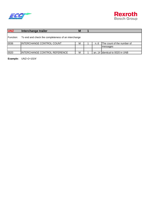



| <b>UNZ</b> | Interchange trailer                                 | M |    |                                |
|------------|-----------------------------------------------------|---|----|--------------------------------|
| Function:  | To end and check the completeness of an interchange |   |    |                                |
| 0036       | INTERCHANGE CONTROL COUNT                           | м | n6 | The count of the number of     |
|            |                                                     |   |    | messages                       |
|            |                                                     |   |    |                                |
| 0020       | INTERCHANGE CONTROL REFERENCE                       | M |    | an14 lidentical to 0020 in UNB |

**Example:** UNZ+2+1024'